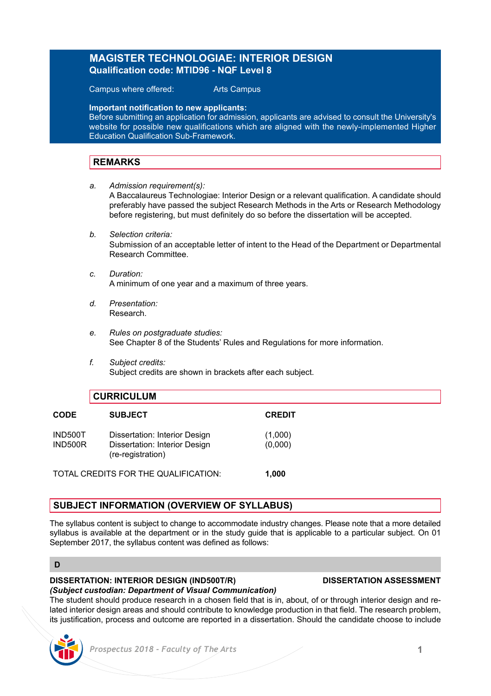# **MAGISTER TECHNOLOGIAE: INTERIOR DESIGN Qualification code: MTID96 - NQF Level 8**

Campus where offered: Arts Campus

**Important notification to new applicants:**

Before submitting an application for admission, applicants are advised to consult the University's website for possible new qualifications which are aligned with the newly-implemented Higher Education Qualification Sub-Framework.

# **REMARKS**

- *a. Admission requirement(s):* A Baccalaureus Technologiae: Interior Design or a relevant qualification. A candidate should preferably have passed the subject Research Methods in the Arts or Research Methodology before registering, but must definitely do so before the dissertation will be accepted.
- *b. Selection criteria:* Submission of an acceptable letter of intent to the Head of the Department or Departmental Research Committee.
- *c. Duration:* A minimum of one year and a maximum of three years.
- *d. Presentation:* Research.
- *e. Rules on postgraduate studies:* See Chapter 8 of the Students' Rules and Regulations for more information.
- *f. Subject credits:* Subject credits are shown in brackets after each subject.

| <b>CURRICULUM</b>  |                                                                |                    |
|--------------------|----------------------------------------------------------------|--------------------|
| <b>CODE</b>        | <b>SUBJECT</b>                                                 | <b>CREDIT</b>      |
| IND500T<br>IND500R | Dissertation: Interior Design<br>Dissertation: Interior Design | (1,000)<br>(0,000) |

TOTAL CREDITS FOR THE QUALIFICATION: **1,000**

(re-registration)

# **SUBJECT INFORMATION (OVERVIEW OF SYLLABUS)**

The syllabus content is subject to change to accommodate industry changes. Please note that a more detailed syllabus is available at the department or in the study guide that is applicable to a particular subject. On 01 September 2017, the syllabus content was defined as follows:

### **D**

# **DISSERTATION: INTERIOR DESIGN (IND500T/R) DISSERTATION ASSESSMENT**

*(Subject custodian: Department of Visual Communication)*  The student should produce research in a chosen field that is in, about, of or through interior design and related interior design areas and should contribute to knowledge production in that field. The research problem, its justification, process and outcome are reported in a dissertation. Should the candidate choose to include

# *Prospectus 2018 - Faculty of The Arts* **1**